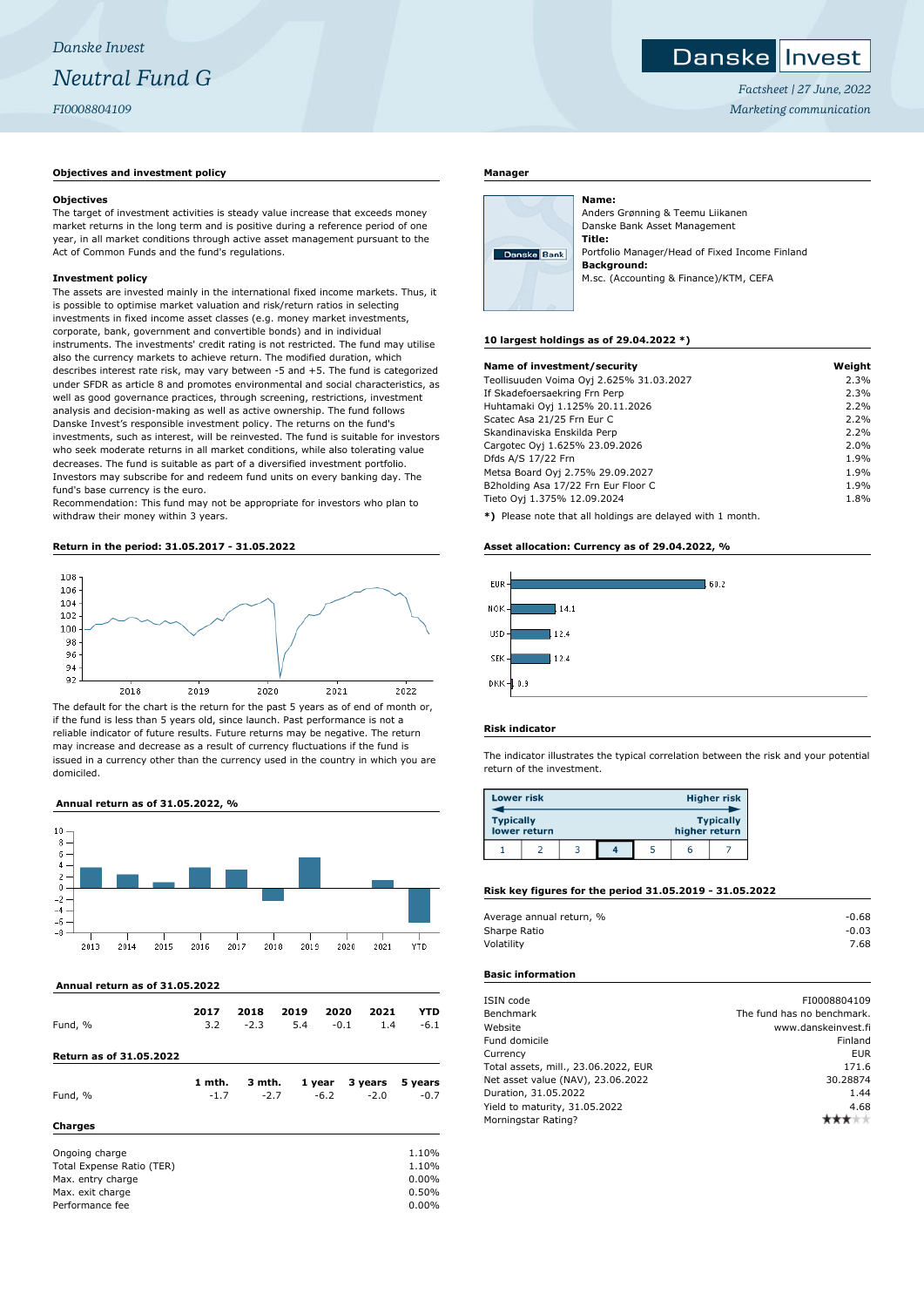# **Objectives and investment policy**

#### **Objectives**

The target of investment activities is steady value increase that exceeds money market returns in the long term and is positive during a reference period of one year, in all market conditions through active asset management pursuant to the Act of Common Funds and the fund's regulations.

#### **Investment policy**

The assets are invested mainly in the international fixed income markets. Thus, it is possible to optimise market valuation and risk/return ratios in selecting investments in fixed income asset classes (e.g. money market investments, corporate, bank, government and convertible bonds) and in individual instruments. The investments' credit rating is not restricted. The fund may utilise also the currency markets to achieve return. The modified duration, which describes interest rate risk, may vary between -5 and +5. The fund is categorized under SFDR as article 8 and promotes environmental and social characteristics, as well as good governance practices, through screening, restrictions, investment analysis and decision-making as well as active ownership. The fund follows Danske Invest's responsible investment policy. The returns on the fund's investments, such as interest, will be reinvested. The fund is suitable for investors who seek moderate returns in all market conditions, while also tolerating value decreases. The fund is suitable as part of a diversified investment portfolio. Investors may subscribe for and redeem fund units on every banking day. The fund's base currency is the euro.

Recommendation: This fund may not be appropriate for investors who plan to withdraw their money within 3 years.

# **Return in the period: 31.05.2017 - 31.05.2022**



The default for the chart is the return for the past 5 years as of end of month or, if the fund is less than 5 years old, since launch. Past performance is not a reliable indicator of future results. Future returns may be negative. The return may increase and decrease as a result of currency fluctuations if the fund is issued in a currency other than the currency used in the country in which you are domiciled.

# **Annual return as of 31.05.2022, %**



#### **Annual return as of 31.05.2022**

| Fund, %                        | 2017<br>3.2      | 2018<br>$-2.3$   | 2019<br>5.4 | 2020<br>$-0.1$   | 2021<br>1.4       | YTD<br>$-6.1$     |
|--------------------------------|------------------|------------------|-------------|------------------|-------------------|-------------------|
| <b>Return as of 31.05.2022</b> |                  |                  |             |                  |                   |                   |
| Fund, %                        | 1 mth.<br>$-1.7$ | 3 mth.<br>$-2.7$ |             | 1 year<br>$-6.2$ | 3 years<br>$-2.0$ | 5 years<br>$-0.7$ |

# **Charges**

| Ongoing charge            | 1.10%    |
|---------------------------|----------|
| Total Expense Ratio (TER) | 1.10%    |
| Max. entry charge         | $0.00\%$ |
| Max. exit charge          | 0.50%    |
| Performance fee           | $0.00\%$ |
|                           |          |

#### **Manager**



Anders Grønning & Teemu Liikanen Danske Bank Asset Management **Title:** Portfolio Manager/Head of Fixed Income Finland **Background:** M.sc. (Accounting & Finance)/KTM, CEFA

#### **10 largest holdings as of 29.04.2022 \*)**

**Name:**

| Name of investment/security                               | Weight |
|-----------------------------------------------------------|--------|
| Teollisuuden Voima Oyj 2.625% 31.03.2027                  | 2.3%   |
| If Skadefoersaekring Frn Perp                             | 2.3%   |
| Huhtamaki Oyj 1.125% 20.11.2026                           | 2.2%   |
| Scatec Asa 21/25 Frn Eur C                                | 2.2%   |
| Skandinaviska Enskilda Perp                               | 2.2%   |
| Cargotec Oyj 1.625% 23.09.2026                            | 2.0%   |
| Dfds A/S 17/22 Frn                                        | 1.9%   |
| Metsa Board Oyj 2.75% 29.09.2027                          | 1.9%   |
| B2holding Asa 17/22 Frn Eur Floor C                       | 1.9%   |
| Tieto Oyj 1.375% 12.09.2024                               | 1.8%   |
| *) Please note that all holdings are delayed with 1 month |        |

**\*)** Please note that all holdings are delayed with 1 month.

#### **Asset allocation: Currency as of 29.04.2022, %**



### **Risk indicator**

The indicator illustrates the typical correlation between the risk and your potential return of the investment.

| <b>Lower risk</b> |              |  |               | <b>Higher risk</b> |
|-------------------|--------------|--|---------------|--------------------|
| <b>Typically</b>  | lower return |  | higher return | <b>Typically</b>   |
|                   |              |  | 6             |                    |

# **Risk key figures for the period 31.05.2019 - 31.05.2022**

| Average annual return, % | $-0.68$ |
|--------------------------|---------|
| Sharpe Ratio             | $-0.03$ |
| Volatility               | 7.68    |
|                          |         |

# **Basic information**

| ISIN code                            | FI0008804109               |
|--------------------------------------|----------------------------|
| Benchmark                            | The fund has no benchmark. |
| Website                              | www.danskeinvest.fi        |
| Fund domicile                        | Finland                    |
| Currency                             | <b>EUR</b>                 |
| Total assets, mill., 23.06.2022, EUR | 171.6                      |
| Net asset value (NAV), 23.06.2022    | 30.28874                   |
| Duration, 31.05.2022                 | 1.44                       |
| Yield to maturity, 31.05.2022        | 4.68                       |
| Morningstar Rating?                  |                            |

*Factsheet | 27 June, 2022 Marketing communication*